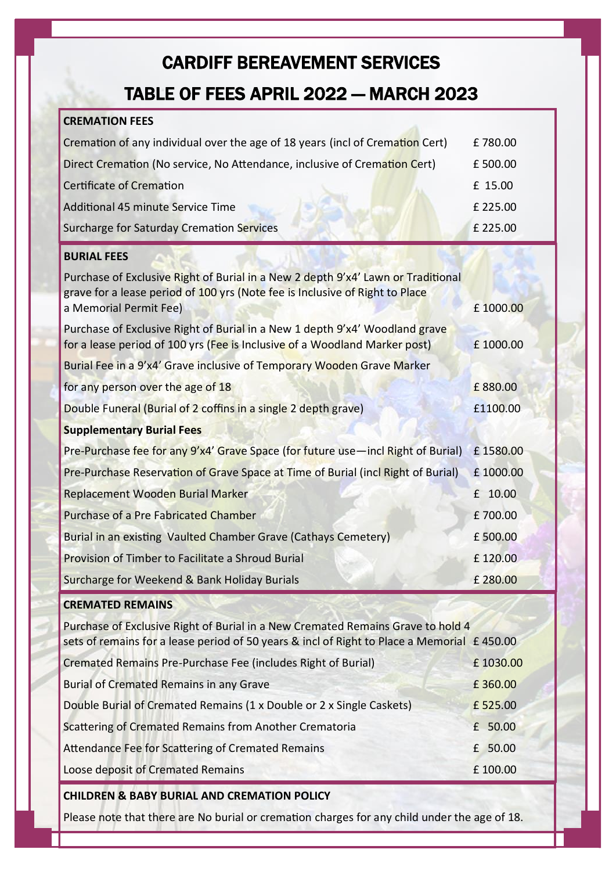## CARDIFF BEREAVEMENT SERVICES

### TABLE OF FEES APRIL 2022 — MARCH 2023

| <b>CREMATION FEES</b>                                                                                                                                                                      |           |
|--------------------------------------------------------------------------------------------------------------------------------------------------------------------------------------------|-----------|
| Cremation of any individual over the age of 18 years (incl of Cremation Cert)                                                                                                              | £780.00   |
| Direct Cremation (No service, No Attendance, inclusive of Cremation Cert)                                                                                                                  | £500.00   |
| Certificate of Cremation                                                                                                                                                                   | £ 15.00   |
| <b>Additional 45 minute Service Time</b>                                                                                                                                                   | £225.00   |
| Surcharge for Saturday Cremation Services                                                                                                                                                  | £225.00   |
| <b>BURIAL FEES</b>                                                                                                                                                                         |           |
| Purchase of Exclusive Right of Burial in a New 2 depth 9'x4' Lawn or Traditional<br>grave for a lease period of 100 yrs (Note fee is Inclusive of Right to Place<br>a Memorial Permit Fee) | £ 1000.00 |
| Purchase of Exclusive Right of Burial in a New 1 depth 9'x4' Woodland grave<br>for a lease period of 100 yrs (Fee is Inclusive of a Woodland Marker post)                                  | £1000.00  |
| Burial Fee in a 9'x4' Grave inclusive of Temporary Wooden Grave Marker                                                                                                                     |           |
| for any person over the age of 18                                                                                                                                                          | £880.00   |
| Double Funeral (Burial of 2 coffins in a single 2 depth grave)                                                                                                                             | £1100.00  |
| <b>Supplementary Burial Fees</b>                                                                                                                                                           |           |
| Pre-Purchase fee for any 9'x4' Grave Space (for future use-incl Right of Burial)                                                                                                           | £1580.00  |
| Pre-Purchase Reservation of Grave Space at Time of Burial (incl Right of Burial)                                                                                                           | £1000.00  |
| Replacement Wooden Burial Marker                                                                                                                                                           | £ 10.00   |
| Purchase of a Pre Fabricated Chamber                                                                                                                                                       | £700.00   |
| Burial in an existing Vaulted Chamber Grave (Cathays Cemetery)                                                                                                                             | £500.00   |
| Provision of Timber to Facilitate a Shroud Burial                                                                                                                                          | £120.00   |
| Surcharge for Weekend & Bank Holiday Burials                                                                                                                                               | £280.00   |
| <b>CREMATED REMAINS</b>                                                                                                                                                                    |           |
| Purchase of Exclusive Right of Burial in a New Cremated Remains Grave to hold 4<br>sets of remains for a lease period of 50 years & incl of Right to Place a Memorial £450.00              |           |
| Cremated Remains Pre-Purchase Fee (includes Right of Burial)                                                                                                                               | £1030.00  |
| <b>Burial of Cremated Remains in any Grave</b>                                                                                                                                             | £360.00   |
| Double Burial of Cremated Remains (1 x Double or 2 x Single Caskets)                                                                                                                       | £525.00   |
| Scattering of Cremated Remains from Another Crematoria                                                                                                                                     | £ 50.00   |
| Attendance Fee for Scattering of Cremated Remains                                                                                                                                          | £ 50.00   |
| Loose deposit of Cremated Remains                                                                                                                                                          | £100.00   |

#### **CHILDREN & BABY BURIAL AND CREMATION POLICY**

Please note that there are No burial or cremation charges for any child under the age of 18.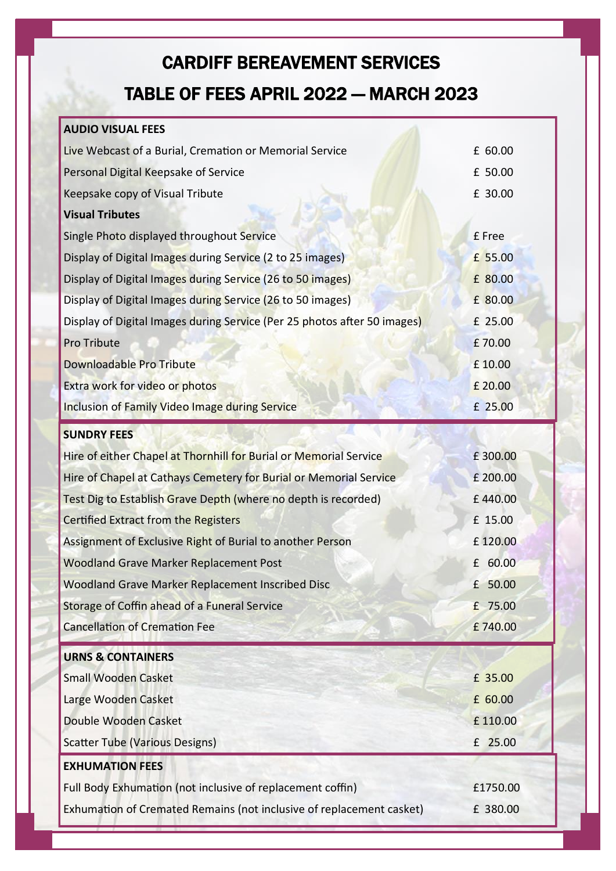# CARDIFF BEREAVEMENT SERVICES TABLE OF FEES APRIL 2022 — MARCH 2023

### **AUDIO VISUAL FEES**

| Live Webcast of a Burial, Cremation or Memorial Service                  | £ 60.00  |
|--------------------------------------------------------------------------|----------|
| Personal Digital Keepsake of Service                                     | £ 50.00  |
| Keepsake copy of Visual Tribute                                          | £ 30.00  |
| <b>Visual Tributes</b>                                                   |          |
| Single Photo displayed throughout Service                                | £ Free   |
| Display of Digital Images during Service (2 to 25 images)                | £ 55.00  |
| Display of Digital Images during Service (26 to 50 images)               | £ 80.00  |
| Display of Digital Images during Service (26 to 50 images)               | £ 80.00  |
| Display of Digital Images during Service (Per 25 photos after 50 images) | £ 25.00  |
| <b>Pro Tribute</b>                                                       | £70.00   |
| Downloadable Pro Tribute                                                 | £10.00   |
| Extra work for video or photos                                           | £ 20.00  |
| <b>Inclusion of Family Video Image during Service</b>                    | £ 25.00  |
| <b>SUNDRY FEES</b>                                                       |          |
| Hire of either Chapel at Thornhill for Burial or Memorial Service        | £300.00  |
| Hire of Chapel at Cathays Cemetery for Burial or Memorial Service        | £ 200.00 |
| Test Dig to Establish Grave Depth (where no depth is recorded)           | £440.00  |
| Certified Extract from the Registers                                     | £ 15.00  |
| Assignment of Exclusive Right of Burial to another Person                | £120.00  |
| <b>Woodland Grave Marker Replacement Post</b>                            | £ 60.00  |
| Woodland Grave Marker Replacement Inscribed Disc                         | £ 50.00  |
| Storage of Coffin ahead of a Funeral Service                             | £ 75.00  |
| <b>Cancellation of Cremation Fee</b>                                     | £740.00  |
| <b>URNS &amp; CONTAINERS</b>                                             |          |
| <b>Small Wooden Casket</b>                                               | £ 35.00  |
| Large Wooden Casket                                                      | £ 60.00  |
| Double Wooden Casket                                                     | £110.00  |
| <b>Scatter Tube (Various Designs)</b>                                    | £ 25.00  |
| <b>EXHUMATION FEES</b>                                                   |          |
|                                                                          |          |
| Full Body Exhumation (not inclusive of replacement coffin)               | £1750.00 |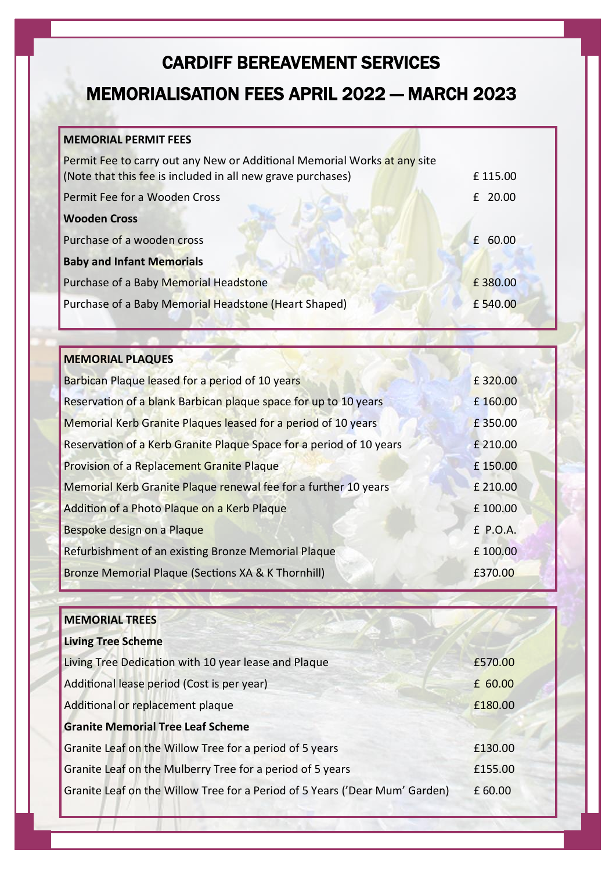### CARDIFF BEREAVEMENT SERVICES

## MEMORIALISATION FEES APRIL 2022 — MARCH 2023

#### **MEMORIAL PERMIT FEES**

| Permit Fee to carry out any New or Additional Memorial Works at any site<br>(Note that this fee is included in all new grave purchases) | £115.00 |
|-----------------------------------------------------------------------------------------------------------------------------------------|---------|
| Permit Fee for a Wooden Cross                                                                                                           | £ 20.00 |
| <b>Wooden Cross</b>                                                                                                                     |         |
| Purchase of a wooden cross                                                                                                              | £ 60.00 |
| <b>Baby and Infant Memorials</b>                                                                                                        |         |
| Purchase of a Baby Memorial Headstone                                                                                                   | £380.00 |
| Purchase of a Baby Memorial Headstone (Heart Shaped)                                                                                    | £540.00 |

| <b>MEMORIAL PLAQUES</b>                                             |          |
|---------------------------------------------------------------------|----------|
| Barbican Plaque leased for a period of 10 years                     | £320.00  |
| Reservation of a blank Barbican plaque space for up to 10 years     | £160.00  |
| Memorial Kerb Granite Plaques leased for a period of 10 years       | £350.00  |
| Reservation of a Kerb Granite Plaque Space for a period of 10 years | £ 210.00 |
| Provision of a Replacement Granite Plaque                           | £150.00  |
| Memorial Kerb Granite Plaque renewal fee for a further 10 years     | £ 210.00 |
| Addition of a Photo Plaque on a Kerb Plaque                         | £100.00  |
| Bespoke design on a Plaque                                          | £ P.O.A. |
| Refurbishment of an existing Bronze Memorial Plaque                 | £100.00  |
| Bronze Memorial Plaque (Sections XA & K Thornhill)                  | £370.00  |

| <b>MEMORIAL TREES</b>                                                       |         |
|-----------------------------------------------------------------------------|---------|
| <b>Living Tree Scheme</b>                                                   |         |
| Living Tree Dedication with 10 year lease and Plaque                        | £570.00 |
| Additional lease period (Cost is per year)                                  | £ 60.00 |
| Additional or replacement plaque                                            | £180.00 |
| <b>Granite Memorial Tree Leaf Scheme</b>                                    |         |
| Granite Leaf on the Willow Tree for a period of 5 years                     | £130.00 |
| Granite Leaf on the Mulberry Tree for a period of 5 years                   | £155.00 |
| Granite Leaf on the Willow Tree for a Period of 5 Years ('Dear Mum' Garden) | £ 60.00 |
|                                                                             |         |